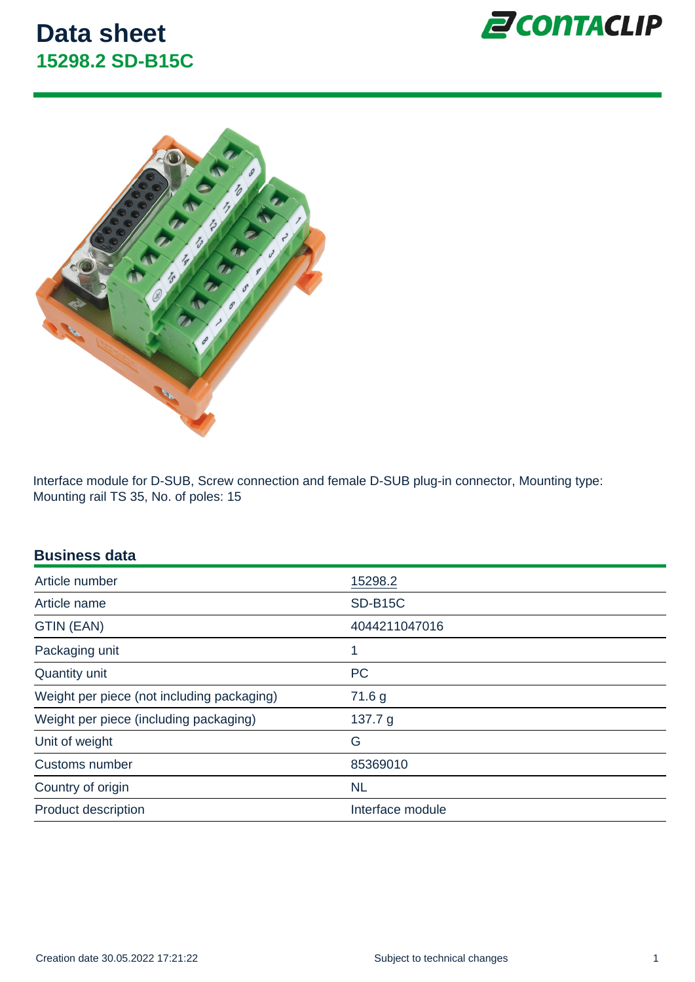Interface module for D-SUB, Screw connection and female D-SUB plug-in connector, Mounting type: Mounting rail TS 35, No. of poles: 15

#### Business data

| Article number                             | 15298.2          |
|--------------------------------------------|------------------|
| Article name                               | <b>SD-B15C</b>   |
| GTIN (EAN)                                 | 4044211047016    |
| Packaging unit                             | 1                |
| Quantity unit                              | <b>PC</b>        |
| Weight per piece (not including packaging) | 71.6 g           |
| Weight per piece (including packaging)     | 137.7 $g$        |
| Unit of weight                             | G                |
| Customs number                             | 85369010         |
| Country of origin                          | <b>NL</b>        |
| <b>Product description</b>                 | Interface module |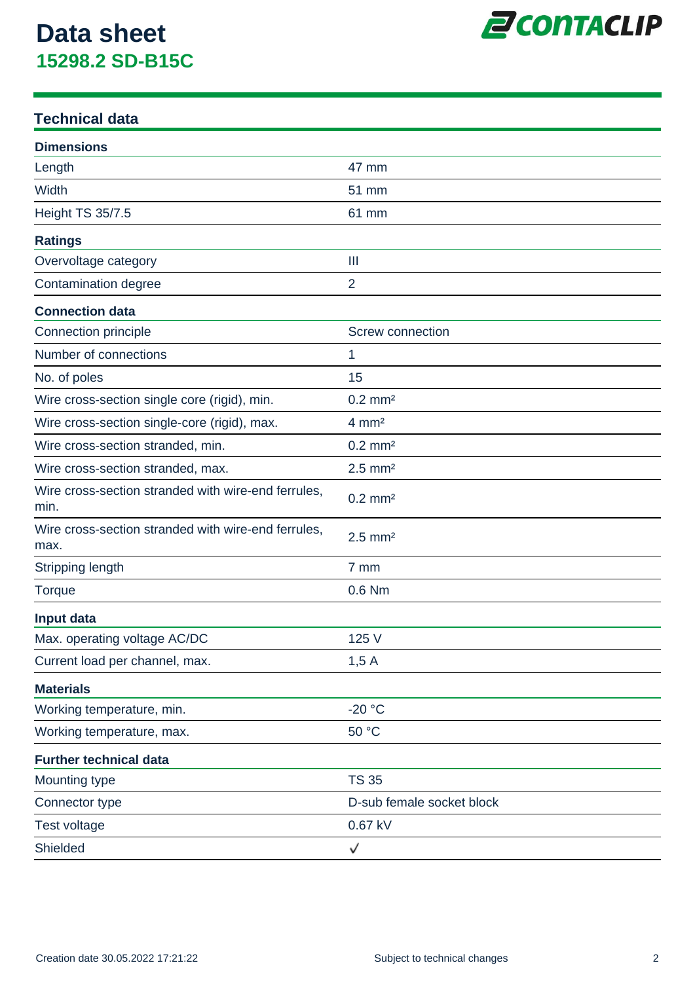

### **Technical data**

| <b>Dimensions</b>                                           |                           |
|-------------------------------------------------------------|---------------------------|
| Length                                                      | 47 mm                     |
| Width                                                       | 51 mm                     |
| <b>Height TS 35/7.5</b>                                     | 61 mm                     |
| <b>Ratings</b>                                              |                           |
| Overvoltage category                                        | $\mathbf{III}$            |
| Contamination degree                                        | $\overline{2}$            |
| <b>Connection data</b>                                      |                           |
| Connection principle                                        | Screw connection          |
| Number of connections                                       | 1                         |
| No. of poles                                                | 15                        |
| Wire cross-section single core (rigid), min.                | $0.2$ mm <sup>2</sup>     |
| Wire cross-section single-core (rigid), max.                | $4 \, \text{mm}^2$        |
| Wire cross-section stranded, min.                           | $0.2$ mm <sup>2</sup>     |
| Wire cross-section stranded, max.                           | $2.5$ mm <sup>2</sup>     |
| Wire cross-section stranded with wire-end ferrules,<br>min. | $0.2$ mm <sup>2</sup>     |
| Wire cross-section stranded with wire-end ferrules,<br>max. | $2.5$ mm <sup>2</sup>     |
| Stripping length                                            | 7 mm                      |
| <b>Torque</b>                                               | 0.6 Nm                    |
| Input data                                                  |                           |
| Max. operating voltage AC/DC                                | 125 V                     |
| Current load per channel, max.                              | 1,5A                      |
| <b>Materials</b>                                            |                           |
| Working temperature, min.                                   | $-20 °C$                  |
| Working temperature, max.                                   | 50 °C                     |
| <b>Further technical data</b>                               |                           |
| Mounting type                                               | <b>TS 35</b>              |
| Connector type                                              | D-sub female socket block |
| Test voltage                                                | 0.67 kV                   |
| Shielded                                                    | √                         |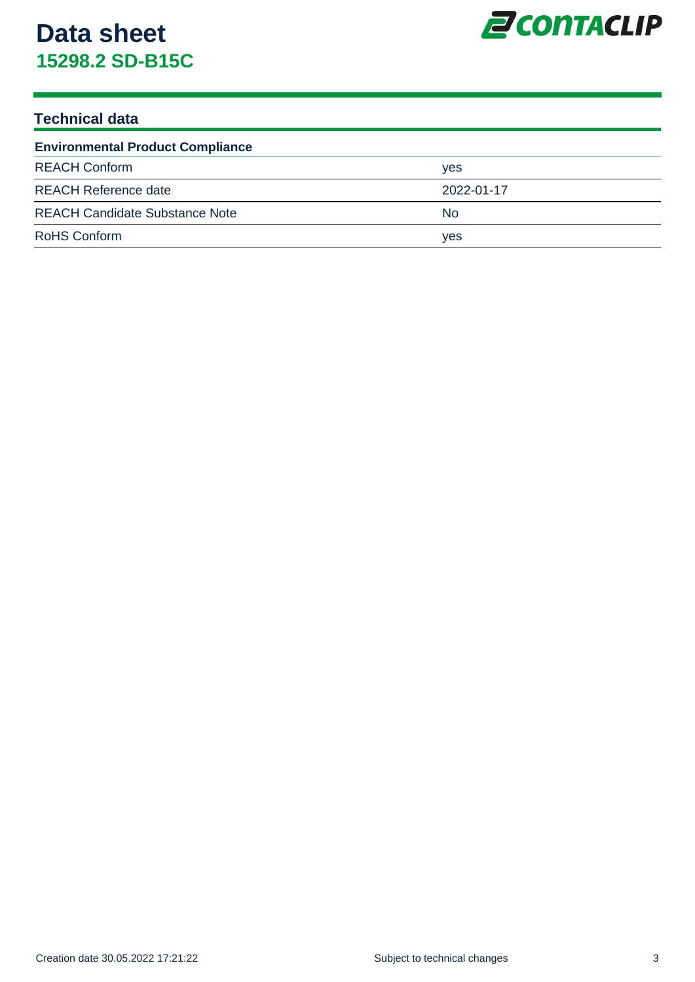

### **Technical data**

| <b>Environmental Product Compliance</b> |            |  |
|-----------------------------------------|------------|--|
| <b>REACH Conform</b>                    | yes        |  |
| <b>REACH Reference date</b>             | 2022-01-17 |  |
| <b>REACH Candidate Substance Note</b>   | No.        |  |
| <b>RoHS Conform</b>                     | yes        |  |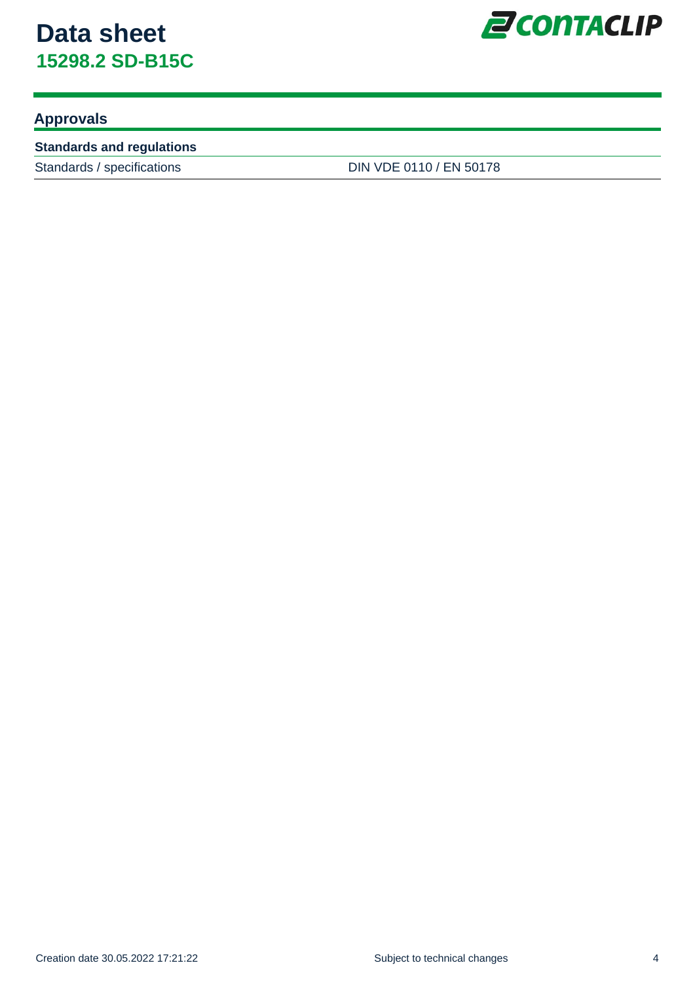

### **Approvals**

#### **Standards and regulations**

Standards / specifications DIN VDE 0110 / EN 50178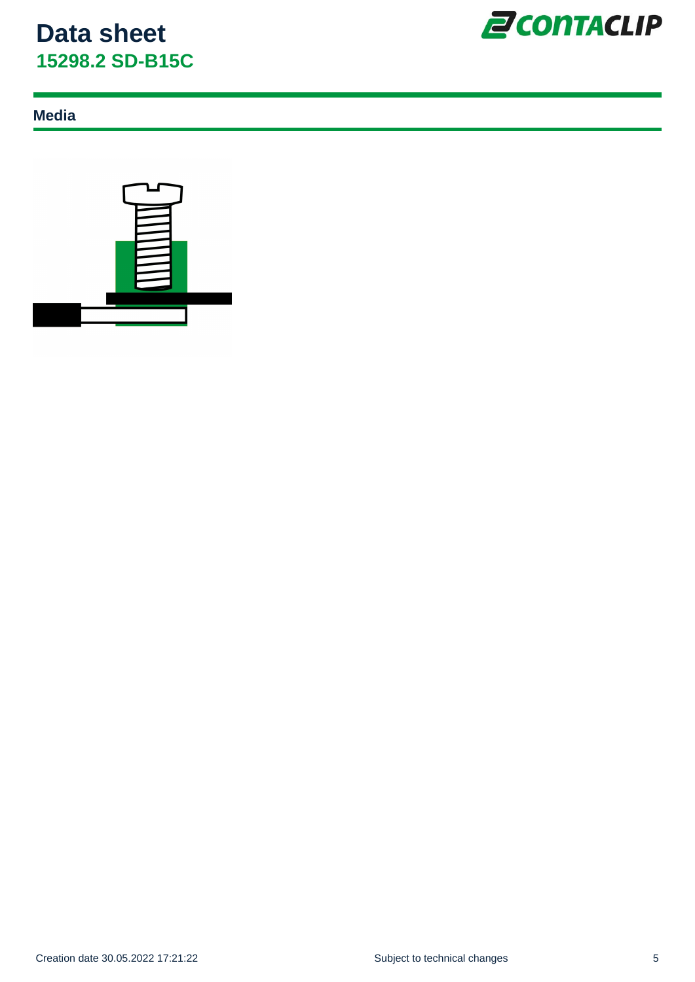

### **Media**